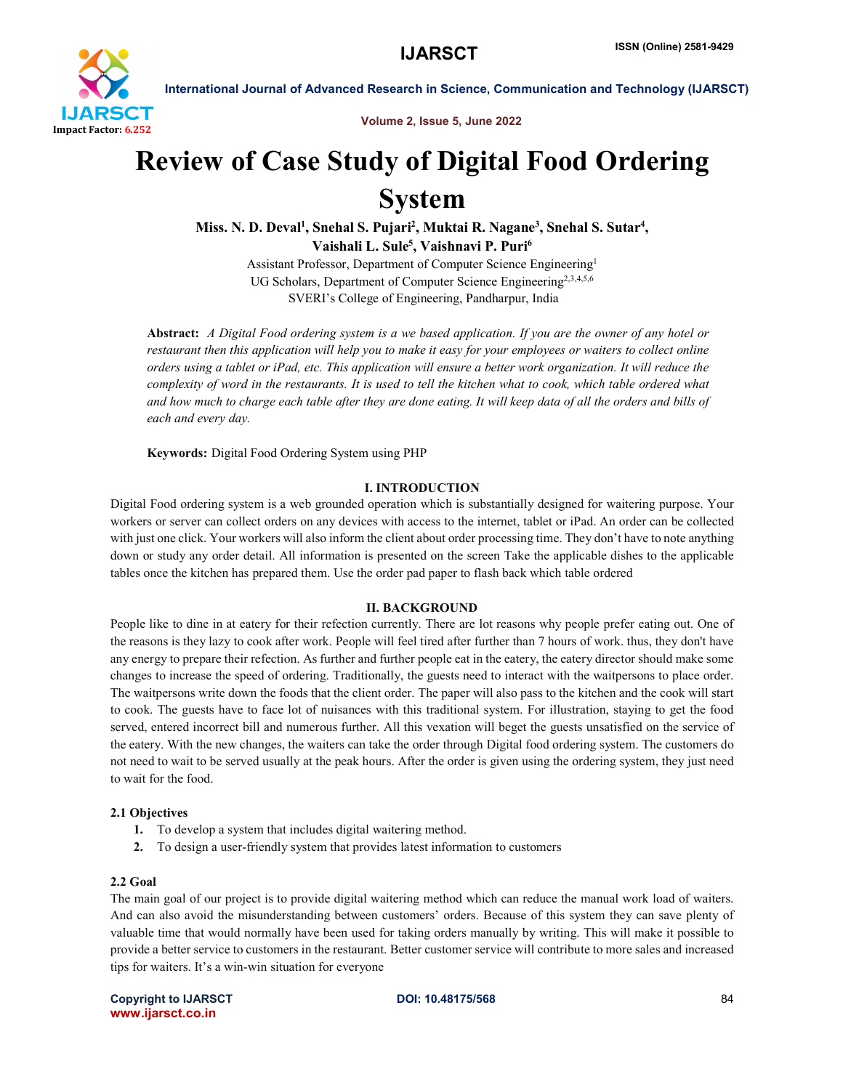

International Journal of Advanced Research in Science, Communication and Technology (IJARSCT)

Volume 2, Issue 5, June 2022

## Review of Case Study of Digital Food Ordering System

Miss. N. D. Deval<sup>1</sup>, Snehal S. Pujari<sup>2</sup>, Muktai R. Nagane<sup>3</sup>, Snehal S. Sutar<sup>4</sup>, Vaishali L. Sule<sup>5</sup>, Vaishnavi P. Puri<sup>6</sup>

> Assistant Professor, Department of Computer Science Engineering1 UG Scholars, Department of Computer Science Engineering<sup>2,3,4,5,6</sup> SVERI's College of Engineering, Pandharpur, India

Abstract: *A Digital Food ordering system is a we based application. If you are the owner of any hotel or restaurant then this application will help you to make it easy for your employees or waiters to collect online orders using a tablet or iPad, etc. This application will ensure a better work organization. It will reduce the complexity of word in the restaurants. It is used to tell the kitchen what to cook, which table ordered what and how much to charge each table after they are done eating. It will keep data of all the orders and bills of each and every day.*

Keywords: Digital Food Ordering System using PHP

#### I. INTRODUCTION

Digital Food ordering system is a web grounded operation which is substantially designed for waitering purpose. Your workers or server can collect orders on any devices with access to the internet, tablet or iPad. An order can be collected with just one click. Your workers will also inform the client about order processing time. They don't have to note anything down or study any order detail. All information is presented on the screen Take the applicable dishes to the applicable tables once the kitchen has prepared them. Use the order pad paper to flash back which table ordered

#### II. BACKGROUND

People like to dine in at eatery for their refection currently. There are lot reasons why people prefer eating out. One of the reasons is they lazy to cook after work. People will feel tired after further than 7 hours of work. thus, they don't have any energy to prepare their refection. As further and further people eat in the eatery, the eatery director should make some changes to increase the speed of ordering. Traditionally, the guests need to interact with the waitpersons to place order. The waitpersons write down the foods that the client order. The paper will also pass to the kitchen and the cook will start to cook. The guests have to face lot of nuisances with this traditional system. For illustration, staying to get the food served, entered incorrect bill and numerous further. All this vexation will beget the guests unsatisfied on the service of the eatery. With the new changes, the waiters can take the order through Digital food ordering system. The customers do not need to wait to be served usually at the peak hours. After the order is given using the ordering system, they just need to wait for the food.

#### 2.1 Objectives

- 1. To develop a system that includes digital waitering method.
- 2. To design a user-friendly system that provides latest information to customers

#### 2.2 Goal

The main goal of our project is to provide digital waitering method which can reduce the manual work load of waiters. And can also avoid the misunderstanding between customers' orders. Because of this system they can save plenty of valuable time that would normally have been used for taking orders manually by writing. This will make it possible to provide a better service to customers in the restaurant. Better customer service will contribute to more sales and increased tips for waiters. It's a win-win situation for everyone

Copyright to IJARSCT **DOI: 10.48175/568** 84 www.ijarsct.co.in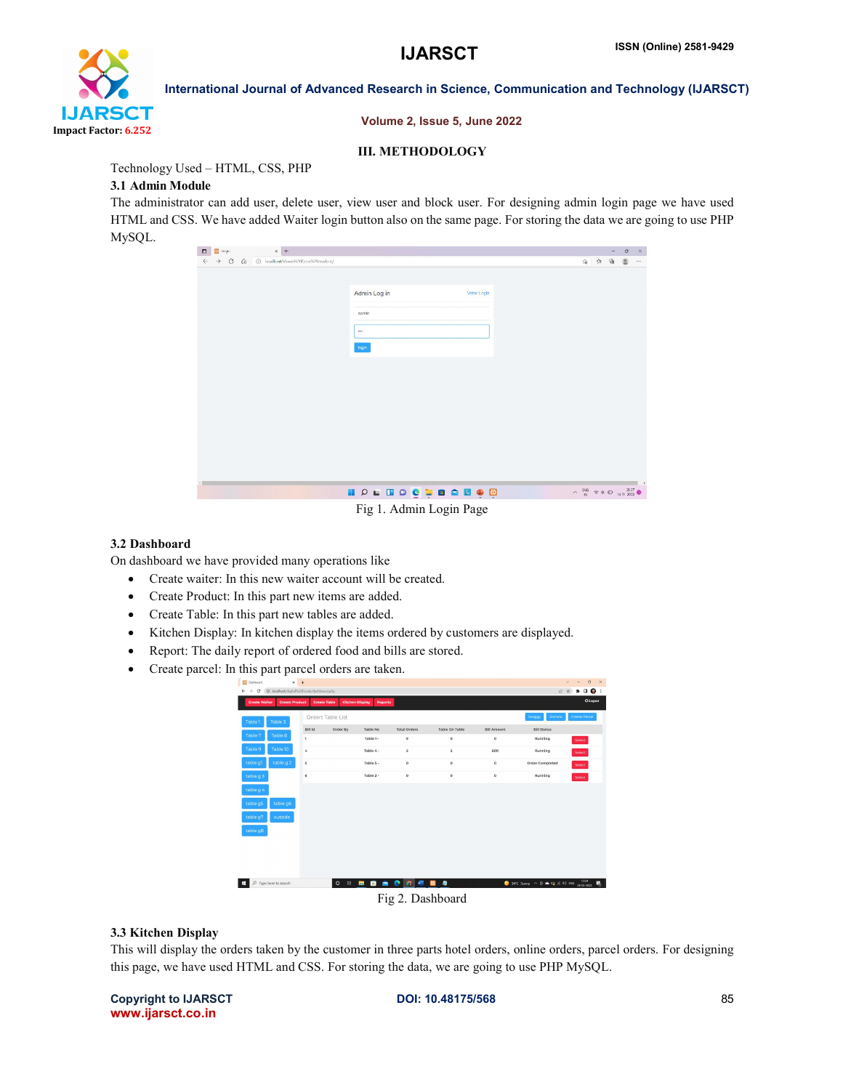

International Journal of Advanced Research in Science, Communication and Technology (IJARSCT)

Volume 2, Issue 5, June 2022

#### III. METHODOLOGY

Technology Used – HTML, CSS, PHP

#### 3.1 Admin Module

The administrator can add user, delete user, view user and block user. For designing admin login page we have used HTML and CSS. We have added Waiter login button also on the same page. For storing the data we are going to use PHP MySQL.

| $\vert x \vert +$<br>$\boxplus$ togo<br>$\blacksquare$      |                             |                                                                                        | $\circ$        | $\times$ |
|-------------------------------------------------------------|-----------------------------|----------------------------------------------------------------------------------------|----------------|----------|
| > C Q @ localhost/Vinnic620Dosa9620student/<br>$\leftarrow$ |                             | 命 白 庙                                                                                  | $\circledcirc$ | $\cdots$ |
|                                                             |                             |                                                                                        |                |          |
|                                                             |                             |                                                                                        |                |          |
|                                                             | Admin Log in<br>Vetor Login |                                                                                        |                |          |
|                                                             | admin                       |                                                                                        |                |          |
|                                                             |                             |                                                                                        |                |          |
|                                                             | $\cdots$                    |                                                                                        |                |          |
|                                                             | login                       |                                                                                        |                |          |
|                                                             |                             |                                                                                        |                |          |
|                                                             |                             |                                                                                        |                |          |
|                                                             |                             |                                                                                        |                |          |
|                                                             |                             |                                                                                        |                |          |
|                                                             |                             |                                                                                        |                |          |
|                                                             |                             |                                                                                        |                |          |
|                                                             |                             |                                                                                        |                |          |
|                                                             |                             |                                                                                        |                |          |
|                                                             |                             |                                                                                        |                |          |
|                                                             |                             |                                                                                        |                |          |
|                                                             |                             |                                                                                        |                |          |
|                                                             |                             |                                                                                        |                |          |
|                                                             | <b>NOLDOCIALO</b>           | $\wedge$ $\frac{100}{N}$ $\otimes$ $\oplus$ $\oplus$ $\frac{2137}{14012022}$ $\bullet$ |                |          |
|                                                             | Fig 1. Admin Login Page     |                                                                                        |                |          |

#### 3.2 Dashboard

On dashboard we have provided many operations like

- Create waiter: In this new waiter account will be created.
- Create Product: In this part new items are added.
- Create Table: In this part new tables are added.
- Kitchen Display: In kitchen display the items ordered by customers are displayed.
- Report: The daily report of ordered food and bills are stored.
- Create parcel: In this part parcel orders are taken.

| <b>Dashboard</b>                                                                | $x +$              |                     |                                          |                     |                       |                    |                                                                              | $\Box$<br>$\times$<br>$\vee$<br>$\frac{1}{2}$ |
|---------------------------------------------------------------------------------|--------------------|---------------------|------------------------------------------|---------------------|-----------------------|--------------------|------------------------------------------------------------------------------|-----------------------------------------------|
| C localhost/digital%20Foods/dashboard.php<br>C<br>$\leftarrow$<br>$\rightarrow$ |                    |                     |                                          |                     |                       |                    | 岭                                                                            | $*$ . $\bullet$ :<br>☆                        |
| <b>Create Walter</b><br><b>Create Product</b>                                   |                    | <b>Create Table</b> | <b>Kitchen Display</b><br><b>Reports</b> |                     |                       |                    |                                                                              | <b>Ö</b> Legont                               |
| Table 1<br>Table 3                                                              |                    | Ordert Table List   |                                          |                     |                       |                    | Swiggy<br>Zomato                                                             | <b>Create Parcel</b>                          |
| Table 7<br>Table 8                                                              | Bill Id            | Order By            | <b>Table No</b>                          | <b>Total Orders</b> | Table On Table        | <b>Bill Amount</b> | <b>Bill Status</b>                                                           |                                               |
|                                                                                 | $\mathbf{I}$       |                     | Table 1-                                 | 9                   | $\circ$               | $\circ$            | Running                                                                      | Select                                        |
| Table 10<br>Table 9                                                             | $\epsilon_{\rm e}$ |                     | Table 4 -                                | s                   | $\mathbf{s}$          | 600                | Running                                                                      | Select                                        |
| table g 2<br>table q1                                                           | $\sf{s}$           |                     | Table 5 -                                | $\circ$             | $\circ$               | $\circ$            | <b>Order Completed</b>                                                       | Select                                        |
| table g 3                                                                       | $\mathsf{6}$       |                     | Table 2 -                                | $\circ$             | $\circ$               | $\circ$            | Running                                                                      | Select                                        |
| table g 4                                                                       |                    |                     |                                          |                     |                       |                    |                                                                              |                                               |
| table g6<br>table q5                                                            |                    |                     |                                          |                     |                       |                    |                                                                              |                                               |
| table q7<br>outside                                                             |                    |                     |                                          |                     |                       |                    |                                                                              |                                               |
| table g8                                                                        |                    |                     |                                          |                     |                       |                    |                                                                              |                                               |
|                                                                                 |                    |                     |                                          |                     |                       |                    |                                                                              |                                               |
|                                                                                 |                    |                     |                                          |                     |                       |                    |                                                                              |                                               |
|                                                                                 |                    |                     |                                          |                     |                       |                    |                                                                              |                                               |
| $\circ$<br>Type here to search<br>н                                             |                    | $\circ$             | 中 国<br>88                                | ● ● ● ■ ■ ■         |                       |                    | $\bullet$ 34°C Sunny $\land$ $\ddot{\oplus}$ $\bullet$ $\Box$ $\land$ 40 ENG | $\frac{1324}{28.05:2022}$<br>馬                |
|                                                                                 |                    |                     |                                          |                     | $T'$ $A$ $D$ $11$ $1$ |                    |                                                                              |                                               |

Fig 2. Dashboard

#### 3.3 Kitchen Display

This will display the orders taken by the customer in three parts hotel orders, online orders, parcel orders. For designing this page, we have used HTML and CSS. For storing the data, we are going to use PHP MySQL.

#### Copyright to IJARSCT **DOI: 10.48175/568** 85 www.ijarsct.co.in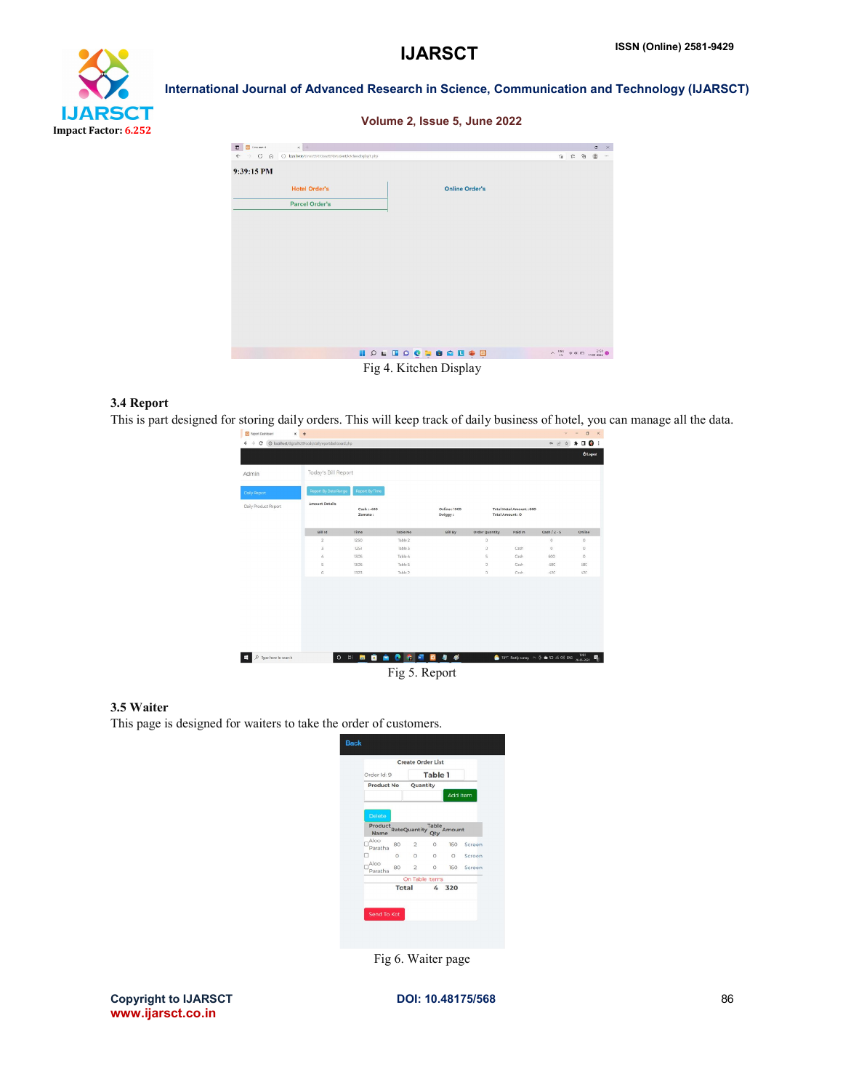# **IJARSCT** Impact Factor: 6.252

International Journal of Advanced Research in Science, Communication and Technology (IJARSCT)

#### Volume 2, Issue 5, June 2022

| $\times$ +<br><b>B</b> Document<br>$\Box$                                   |                                                                                                                                                                                          | σ | $\mathbb{R}^{\times}$<br>$\cdots$ |
|-----------------------------------------------------------------------------|------------------------------------------------------------------------------------------------------------------------------------------------------------------------------------------|---|-----------------------------------|
| ← → C A O localent/vinnes201.com%20student/kh/headisplay1.php<br>9:39:15 PM | 宿亡角圈                                                                                                                                                                                     |   |                                   |
| <b>Hotel Order's</b>                                                        | <b>Online Order's</b>                                                                                                                                                                    |   |                                   |
| <b>Parcel Order's</b>                                                       |                                                                                                                                                                                          |   |                                   |
|                                                                             |                                                                                                                                                                                          |   |                                   |
|                                                                             |                                                                                                                                                                                          |   |                                   |
|                                                                             |                                                                                                                                                                                          |   |                                   |
|                                                                             |                                                                                                                                                                                          |   |                                   |
|                                                                             |                                                                                                                                                                                          |   |                                   |
|                                                                             |                                                                                                                                                                                          |   |                                   |
|                                                                             |                                                                                                                                                                                          |   |                                   |
|                                                                             |                                                                                                                                                                                          |   |                                   |
|                                                                             | I PL <b>HO CL SO DO HO</b><br>$\wedge \begin{array}{c} 196 \\ 19 \end{array} \Rightarrow \text{ } \Phi \text{ } \Box \text{ } \begin{array}{c} 239 \\ 1401302 \end{array} \text{ } \Phi$ |   |                                   |
|                                                                             | $\Gamma$ : $A \cdot V$ : $A \cdot A \cdot \ldots \cdot \Gamma$                                                                                                                           |   |                                   |



#### 3.4 Report

This is part designed for storing daily orders. This will keep track of daily business of hotel, you can manage all the data.

| Admin                | Today's Bill Report   |                        |           |                         |                       |                                            |                |            |
|----------------------|-----------------------|------------------------|-----------|-------------------------|-----------------------|--------------------------------------------|----------------|------------|
| Daily Report         | Report By Date Range  | Report By Time         |           |                         |                       |                                            |                |            |
| Daily Product Report | <b>Amount Details</b> | Cash: - 400<br>Zomato: |           | Online: 1000<br>Swiggy: |                       | Total Hotel Amount: 600<br>Total Amount: 0 |                |            |
|                      | <b>Bill Id</b>        | Time                   | Table No. | <b>Bill By</b>          | <b>Order Quantity</b> | Paid In                                    | $Cash / z - s$ | Online     |
|                      | $\overline{z}$        | 12:50                  | Table 2   |                         | $\circ$               |                                            | $\circ$        | $\circ$    |
|                      | 3                     | 1251                   | Table 3   |                         | $\alpha$              | Cash                                       | $\circ$        | 0          |
|                      | 4                     | 13:35                  | Table 4   |                         | 5                     | Cash                                       | 600            | $\circ$    |
|                      | 5                     | 13:06                  | Table 5   |                         | $\circ$               | Cash                                       | $-$ SBC        | <b>SBC</b> |
|                      | ĥ.                    | 13:23                  | Table 2   |                         | $\alpha$              | Cash                                       | $-420$         | 420        |
|                      |                       |                        |           |                         |                       |                                            |                |            |
|                      |                       |                        |           |                         |                       |                                            |                |            |

#### 3.5 Waiter

This page is designed for waiters to take the order of customers.

| Order Id: 9            |              |                     | <b>Table 1</b> |                 |            |
|------------------------|--------------|---------------------|----------------|-----------------|------------|
| <b>Product No</b>      |              | Quantity            |                |                 |            |
|                        |              |                     |                | <b>Add Item</b> |            |
|                        |              |                     |                |                 |            |
| <b>Delete</b>          |              |                     |                |                 |            |
| Product<br><b>Name</b> |              | <b>RateQuantity</b> | Table<br>Qty   | Amount          |            |
| Aloo<br>Paratha        | 80           | $\overline{2}$      | $\circ$        |                 | 160 Screen |
|                        | $\circ$      | $\circ$             | $\circ$        | $\circ$         | Screen     |
| Aloo<br>Paratha        | 80           | $\overline{2}$      | $\circ$        | 160             | Screen     |
|                        |              | On Table Items      |                |                 |            |
|                        | <b>Total</b> |                     |                | 4 320           |            |
|                        |              |                     |                |                 |            |
|                        |              |                     |                |                 |            |
| Send To Kot            |              |                     |                |                 |            |

Fig 6. Waiter page